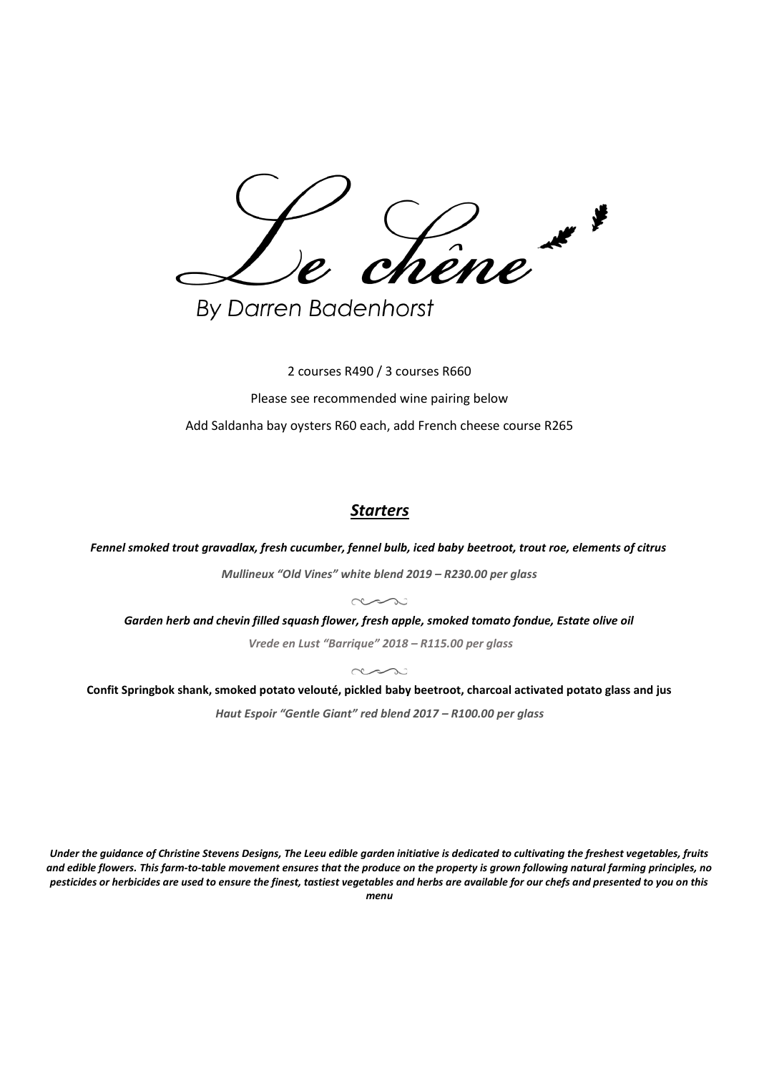Lêne\*

**By Darren Badenhorst** 

2 courses R490 / 3 courses R660 Please see recommended wine pairing below Add Saldanha bay oysters R60 each, add French cheese course R265

## *Starters*

*Fennel smoked trout gravadlax, fresh cucumber, fennel bulb, iced baby beetroot, trout roe, elements of citrus*

*Mullineux "Old Vines" white blend 2019 – R230.00 per glass*

 $\sim$ 

*Garden herb and chevin filled squash flower, fresh apple, smoked tomato fondue, Estate olive oil*

*Vrede en Lust "Barrique" 2018 – R115.00 per glass*  $\sim$   $\sim$   $\sim$   $\sim$ 

**Confit Springbok shank, smoked potato velouté, pickled baby beetroot, charcoal activated potato glass and jus** *Haut Espoir "Gentle Giant" red blend 2017 – R100.00 per glass*

*Under the guidance of Christine Stevens Designs, The Leeu edible garden initiative is dedicated to cultivating the freshest vegetables, fruits and edible flowers. This farm-to-table movement ensures that the produce on the property is grown following natural farming principles, no pesticides or herbicides are used to ensure the finest, tastiest vegetables and herbs are available for our chefs and presented to you on this menu*